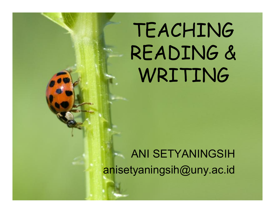## TEACHING READING & **WRITING**

#### ANI SETYANINGSIH anisetyaningsih@uny.ac.id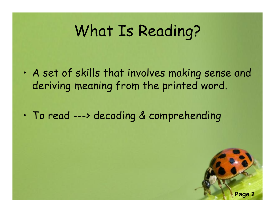### What Is Reading?

- A set of skills that involves making sense and deriving meaning from the printed word.
- To read ---> decoding & comprehending

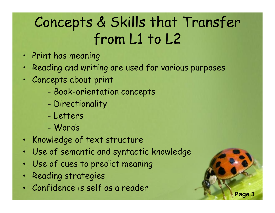### Concepts & Skills that Transfer from L1 to L2

- Print has meaning
- Reading and writing are used for various purposes
- Concepts about print
	- Book-orientation concepts
	- Directionality
	- Letters
	- Words
- Knowledge of text structure
- Use of semantic and syntactic knowledge
- Use of cues to predict meaning
- Reading strategies
- Confidence is self as a reader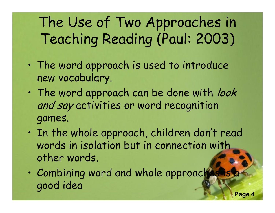The Use of Two Approaches in Teaching Reading (Paul: 2003)

- The word approach is used to introduce new vocabulary.
- The word approach can be done with look and say activities or word recognition games.
- In the whole approach, children don't read words in isolation but in connection with other words.
- Combining word and whole approaches good idea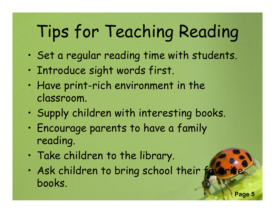## Tips for Teaching Reading

- Set a regular reading time with students.
- Introduce sight words first.
- Have print-rich environment in the classroom.
- Supply children with interesting books.
- Encourage parents to have a family reading.
- Take children to the library.
- Ask children to bring school their favor books.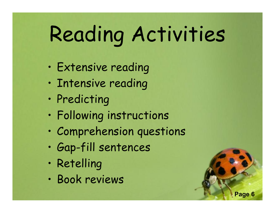# Reading Activities

- Extensive reading
- Intensive reading
- Predicting
- Following instructions
- Comprehension questions
- Gap-fill sentences
- Retelling
- Book reviews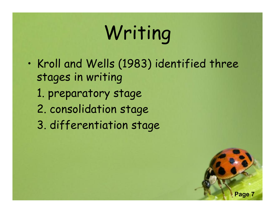## Writing

• Kroll and Wells (1983) identified three stages in writing

**Page 7**

- 1. preparatory stage
- 2. consolidation stage
- 3. differentiation stage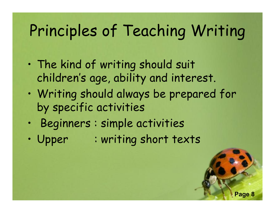### Principles of Teaching Writing

- The kind of writing should suit children's age, ability and interest.
- Writing should always be prepared for by specific activities
- Beginners : simple activities
- Upper : writing short texts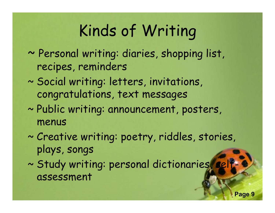### Kinds of Writing

- ~ Personal writing: diaries, shopping list, recipes, reminders
- ~ Social writing: letters, invitations, congratulations, text messages
- ~ Public writing: announcement, posters, menus
- ~ Creative writing: poetry, riddles, stories, plays, songs
- ~ Study writing: personal dictionaries, selfassessment